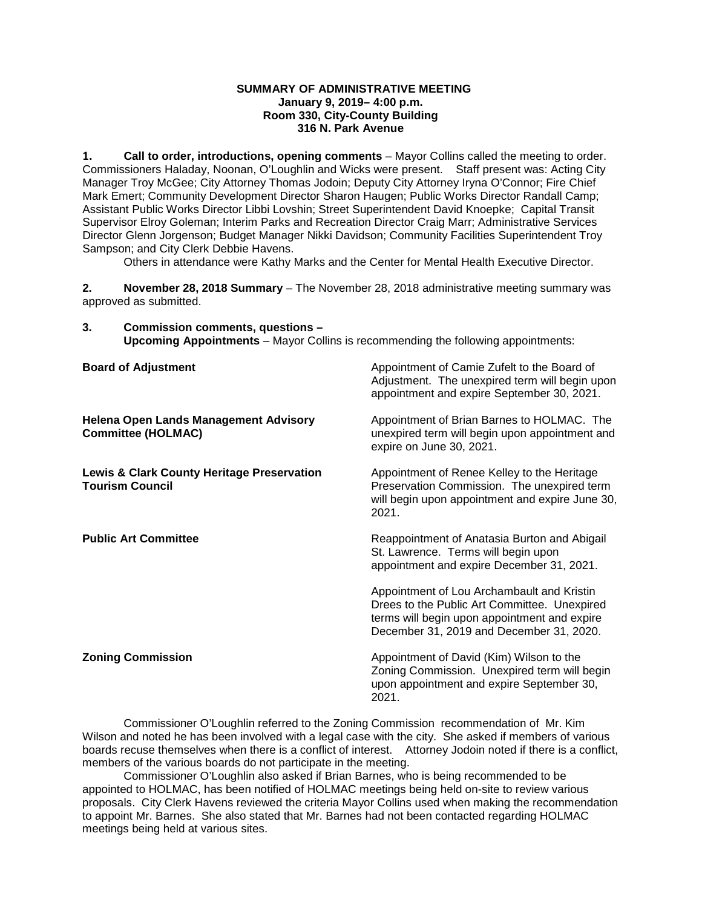#### **SUMMARY OF ADMINISTRATIVE MEETING January 9, 2019– 4:00 p.m. Room 330, City-County Building 316 N. Park Avenue**

**1. Call to order, introductions, opening comments** – Mayor Collins called the meeting to order. Commissioners Haladay, Noonan, O'Loughlin and Wicks were present. Staff present was: Acting City Manager Troy McGee; City Attorney Thomas Jodoin; Deputy City Attorney Iryna O'Connor; Fire Chief Mark Emert; Community Development Director Sharon Haugen; Public Works Director Randall Camp; Assistant Public Works Director Libbi Lovshin; Street Superintendent David Knoepke; Capital Transit Supervisor Elroy Goleman; Interim Parks and Recreation Director Craig Marr; Administrative Services Director Glenn Jorgenson; Budget Manager Nikki Davidson; Community Facilities Superintendent Troy Sampson; and City Clerk Debbie Havens.

Others in attendance were Kathy Marks and the Center for Mental Health Executive Director.

**2. November 28, 2018 Summary** – The November 28, 2018 administrative meeting summary was approved as submitted.

**3. Commission comments, questions – Upcoming Appointments** – Mayor Collins is recommending the following appointments:

| <b>Board of Adjustment</b>                                                      | Appointment of Camie Zufelt to the Board of<br>Adjustment. The unexpired term will begin upon<br>appointment and expire September 30, 2021.                                            |
|---------------------------------------------------------------------------------|----------------------------------------------------------------------------------------------------------------------------------------------------------------------------------------|
| <b>Helena Open Lands Management Advisory</b><br><b>Committee (HOLMAC)</b>       | Appointment of Brian Barnes to HOLMAC. The<br>unexpired term will begin upon appointment and<br>expire on June 30, 2021.                                                               |
| <b>Lewis &amp; Clark County Heritage Preservation</b><br><b>Tourism Council</b> | Appointment of Renee Kelley to the Heritage<br>Preservation Commission. The unexpired term<br>will begin upon appointment and expire June 30,<br>2021.                                 |
| <b>Public Art Committee</b>                                                     | Reappointment of Anatasia Burton and Abigail<br>St. Lawrence. Terms will begin upon<br>appointment and expire December 31, 2021.                                                       |
|                                                                                 | Appointment of Lou Archambault and Kristin<br>Drees to the Public Art Committee. Unexpired<br>terms will begin upon appointment and expire<br>December 31, 2019 and December 31, 2020. |
| <b>Zoning Commission</b>                                                        | Appointment of David (Kim) Wilson to the<br>Zoning Commission. Unexpired term will begin<br>upon appointment and expire September 30,<br>2021.                                         |

Commissioner O'Loughlin referred to the Zoning Commission recommendation of Mr. Kim Wilson and noted he has been involved with a legal case with the city. She asked if members of various boards recuse themselves when there is a conflict of interest. Attorney Jodoin noted if there is a conflict, members of the various boards do not participate in the meeting.

Commissioner O'Loughlin also asked if Brian Barnes, who is being recommended to be appointed to HOLMAC, has been notified of HOLMAC meetings being held on-site to review various proposals. City Clerk Havens reviewed the criteria Mayor Collins used when making the recommendation to appoint Mr. Barnes. She also stated that Mr. Barnes had not been contacted regarding HOLMAC meetings being held at various sites.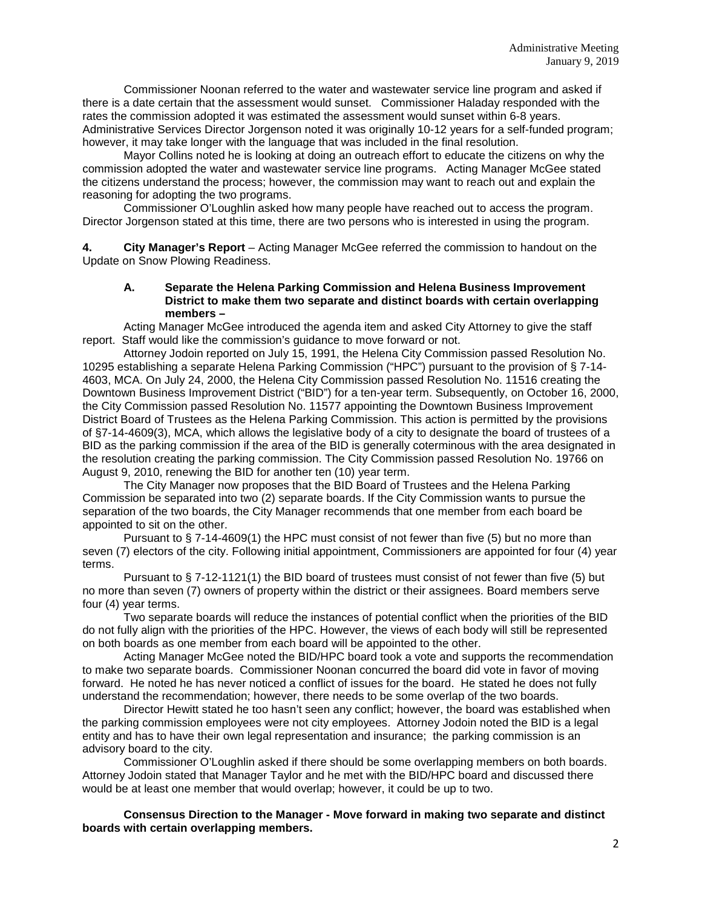Commissioner Noonan referred to the water and wastewater service line program and asked if there is a date certain that the assessment would sunset. Commissioner Haladay responded with the rates the commission adopted it was estimated the assessment would sunset within 6-8 years. Administrative Services Director Jorgenson noted it was originally 10-12 years for a self-funded program; however, it may take longer with the language that was included in the final resolution.

Mayor Collins noted he is looking at doing an outreach effort to educate the citizens on why the commission adopted the water and wastewater service line programs. Acting Manager McGee stated the citizens understand the process; however, the commission may want to reach out and explain the reasoning for adopting the two programs.

Commissioner O'Loughlin asked how many people have reached out to access the program. Director Jorgenson stated at this time, there are two persons who is interested in using the program.

**4. City Manager's Report** – Acting Manager McGee referred the commission to handout on the Update on Snow Plowing Readiness.

## **A. Separate the Helena Parking Commission and Helena Business Improvement District to make them two separate and distinct boards with certain overlapping members –**

Acting Manager McGee introduced the agenda item and asked City Attorney to give the staff report. Staff would like the commission's guidance to move forward or not.

Attorney Jodoin reported on July 15, 1991, the Helena City Commission passed Resolution No. 10295 establishing a separate Helena Parking Commission ("HPC") pursuant to the provision of § 7-14- 4603, MCA. On July 24, 2000, the Helena City Commission passed Resolution No. 11516 creating the Downtown Business Improvement District ("BID") for a ten-year term. Subsequently, on October 16, 2000, the City Commission passed Resolution No. 11577 appointing the Downtown Business Improvement District Board of Trustees as the Helena Parking Commission. This action is permitted by the provisions of §7-14-4609(3), MCA, which allows the legislative body of a city to designate the board of trustees of a BID as the parking commission if the area of the BID is generally coterminous with the area designated in the resolution creating the parking commission. The City Commission passed Resolution No. 19766 on August 9, 2010, renewing the BID for another ten (10) year term.

The City Manager now proposes that the BID Board of Trustees and the Helena Parking Commission be separated into two (2) separate boards. If the City Commission wants to pursue the separation of the two boards, the City Manager recommends that one member from each board be appointed to sit on the other.

Pursuant to § 7-14-4609(1) the HPC must consist of not fewer than five (5) but no more than seven (7) electors of the city. Following initial appointment, Commissioners are appointed for four (4) year terms.

Pursuant to § 7-12-1121(1) the BID board of trustees must consist of not fewer than five (5) but no more than seven (7) owners of property within the district or their assignees. Board members serve four (4) year terms.

Two separate boards will reduce the instances of potential conflict when the priorities of the BID do not fully align with the priorities of the HPC. However, the views of each body will still be represented on both boards as one member from each board will be appointed to the other.

Acting Manager McGee noted the BID/HPC board took a vote and supports the recommendation to make two separate boards. Commissioner Noonan concurred the board did vote in favor of moving forward. He noted he has never noticed a conflict of issues for the board. He stated he does not fully understand the recommendation; however, there needs to be some overlap of the two boards.

Director Hewitt stated he too hasn't seen any conflict; however, the board was established when the parking commission employees were not city employees. Attorney Jodoin noted the BID is a legal entity and has to have their own legal representation and insurance; the parking commission is an advisory board to the city.

Commissioner O'Loughlin asked if there should be some overlapping members on both boards. Attorney Jodoin stated that Manager Taylor and he met with the BID/HPC board and discussed there would be at least one member that would overlap; however, it could be up to two.

**Consensus Direction to the Manager - Move forward in making two separate and distinct boards with certain overlapping members.**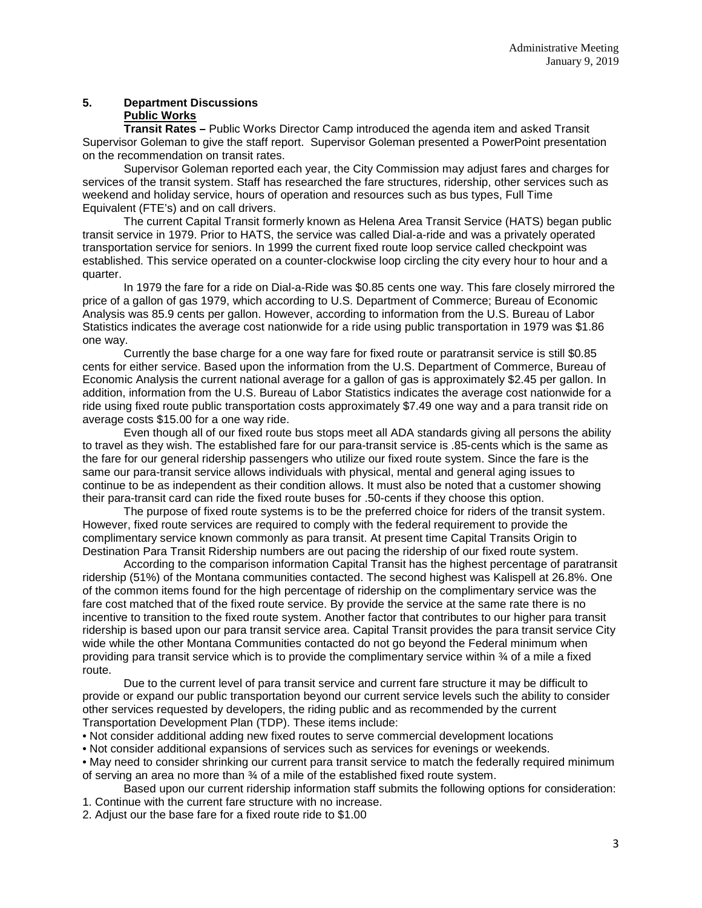# **5. Department Discussions Public Works**

**Transit Rates –** Public Works Director Camp introduced the agenda item and asked Transit Supervisor Goleman to give the staff report. Supervisor Goleman presented a PowerPoint presentation on the recommendation on transit rates.

Supervisor Goleman reported each year, the City Commission may adjust fares and charges for services of the transit system. Staff has researched the fare structures, ridership, other services such as weekend and holiday service, hours of operation and resources such as bus types, Full Time Equivalent (FTE's) and on call drivers.

The current Capital Transit formerly known as Helena Area Transit Service (HATS) began public transit service in 1979. Prior to HATS, the service was called Dial-a-ride and was a privately operated transportation service for seniors. In 1999 the current fixed route loop service called checkpoint was established. This service operated on a counter-clockwise loop circling the city every hour to hour and a quarter.

In 1979 the fare for a ride on Dial-a-Ride was \$0.85 cents one way. This fare closely mirrored the price of a gallon of gas 1979, which according to U.S. Department of Commerce; Bureau of Economic Analysis was 85.9 cents per gallon. However, according to information from the U.S. Bureau of Labor Statistics indicates the average cost nationwide for a ride using public transportation in 1979 was \$1.86 one way.

Currently the base charge for a one way fare for fixed route or paratransit service is still \$0.85 cents for either service. Based upon the information from the U.S. Department of Commerce, Bureau of Economic Analysis the current national average for a gallon of gas is approximately \$2.45 per gallon. In addition, information from the U.S. Bureau of Labor Statistics indicates the average cost nationwide for a ride using fixed route public transportation costs approximately \$7.49 one way and a para transit ride on average costs \$15.00 for a one way ride.

Even though all of our fixed route bus stops meet all ADA standards giving all persons the ability to travel as they wish. The established fare for our para-transit service is .85-cents which is the same as the fare for our general ridership passengers who utilize our fixed route system. Since the fare is the same our para-transit service allows individuals with physical, mental and general aging issues to continue to be as independent as their condition allows. It must also be noted that a customer showing their para-transit card can ride the fixed route buses for .50-cents if they choose this option.

The purpose of fixed route systems is to be the preferred choice for riders of the transit system. However, fixed route services are required to comply with the federal requirement to provide the complimentary service known commonly as para transit. At present time Capital Transits Origin to Destination Para Transit Ridership numbers are out pacing the ridership of our fixed route system.

According to the comparison information Capital Transit has the highest percentage of paratransit ridership (51%) of the Montana communities contacted. The second highest was Kalispell at 26.8%. One of the common items found for the high percentage of ridership on the complimentary service was the fare cost matched that of the fixed route service. By provide the service at the same rate there is no incentive to transition to the fixed route system. Another factor that contributes to our higher para transit ridership is based upon our para transit service area. Capital Transit provides the para transit service City wide while the other Montana Communities contacted do not go beyond the Federal minimum when providing para transit service which is to provide the complimentary service within ¾ of a mile a fixed route.

Due to the current level of para transit service and current fare structure it may be difficult to provide or expand our public transportation beyond our current service levels such the ability to consider other services requested by developers, the riding public and as recommended by the current Transportation Development Plan (TDP). These items include:

• Not consider additional adding new fixed routes to serve commercial development locations

• Not consider additional expansions of services such as services for evenings or weekends.

• May need to consider shrinking our current para transit service to match the federally required minimum of serving an area no more than ¾ of a mile of the established fixed route system.

Based upon our current ridership information staff submits the following options for consideration: 1. Continue with the current fare structure with no increase.

2. Adjust our the base fare for a fixed route ride to \$1.00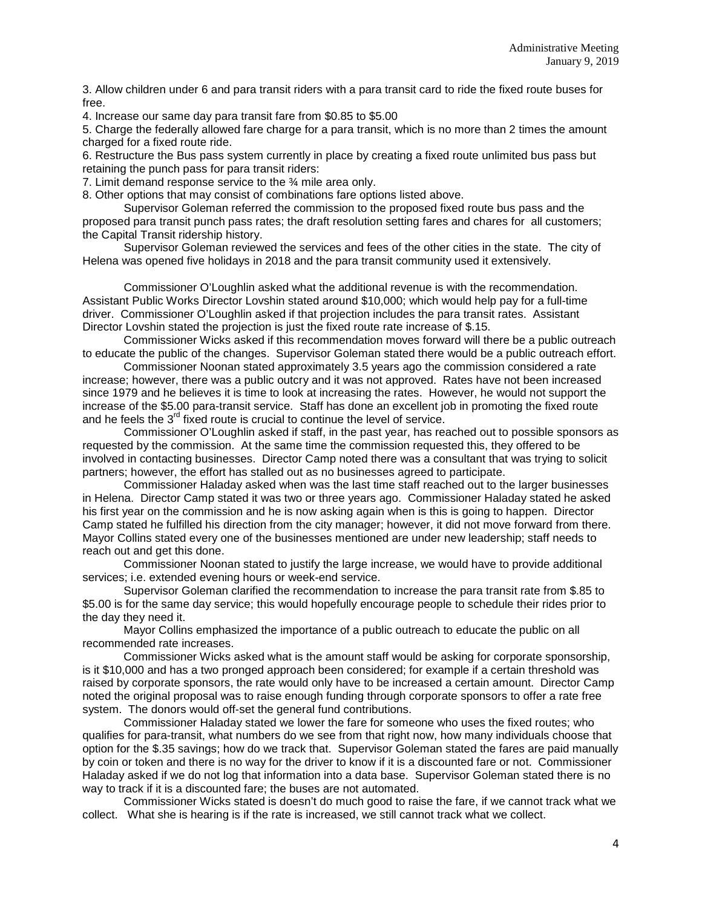3. Allow children under 6 and para transit riders with a para transit card to ride the fixed route buses for free.

4. Increase our same day para transit fare from \$0.85 to \$5.00

5. Charge the federally allowed fare charge for a para transit, which is no more than 2 times the amount charged for a fixed route ride.

6. Restructure the Bus pass system currently in place by creating a fixed route unlimited bus pass but retaining the punch pass for para transit riders:

7. Limit demand response service to the ¾ mile area only.

8. Other options that may consist of combinations fare options listed above.

Supervisor Goleman referred the commission to the proposed fixed route bus pass and the proposed para transit punch pass rates; the draft resolution setting fares and chares for all customers; the Capital Transit ridership history.

Supervisor Goleman reviewed the services and fees of the other cities in the state. The city of Helena was opened five holidays in 2018 and the para transit community used it extensively.

Commissioner O'Loughlin asked what the additional revenue is with the recommendation. Assistant Public Works Director Lovshin stated around \$10,000; which would help pay for a full-time driver. Commissioner O'Loughlin asked if that projection includes the para transit rates. Assistant Director Lovshin stated the projection is just the fixed route rate increase of \$.15.

Commissioner Wicks asked if this recommendation moves forward will there be a public outreach to educate the public of the changes. Supervisor Goleman stated there would be a public outreach effort.

Commissioner Noonan stated approximately 3.5 years ago the commission considered a rate increase; however, there was a public outcry and it was not approved. Rates have not been increased since 1979 and he believes it is time to look at increasing the rates. However, he would not support the increase of the \$5.00 para-transit service. Staff has done an excellent job in promoting the fixed route and he feels the  $3<sup>rd</sup>$  fixed route is crucial to continue the level of service.

Commissioner O'Loughlin asked if staff, in the past year, has reached out to possible sponsors as requested by the commission. At the same time the commission requested this, they offered to be involved in contacting businesses. Director Camp noted there was a consultant that was trying to solicit partners; however, the effort has stalled out as no businesses agreed to participate.

Commissioner Haladay asked when was the last time staff reached out to the larger businesses in Helena. Director Camp stated it was two or three years ago. Commissioner Haladay stated he asked his first year on the commission and he is now asking again when is this is going to happen. Director Camp stated he fulfilled his direction from the city manager; however, it did not move forward from there. Mayor Collins stated every one of the businesses mentioned are under new leadership; staff needs to reach out and get this done.

Commissioner Noonan stated to justify the large increase, we would have to provide additional services; i.e. extended evening hours or week-end service.

Supervisor Goleman clarified the recommendation to increase the para transit rate from \$.85 to \$5.00 is for the same day service; this would hopefully encourage people to schedule their rides prior to the day they need it.

Mayor Collins emphasized the importance of a public outreach to educate the public on all recommended rate increases.

Commissioner Wicks asked what is the amount staff would be asking for corporate sponsorship, is it \$10,000 and has a two pronged approach been considered; for example if a certain threshold was raised by corporate sponsors, the rate would only have to be increased a certain amount. Director Camp noted the original proposal was to raise enough funding through corporate sponsors to offer a rate free system. The donors would off-set the general fund contributions.

Commissioner Haladay stated we lower the fare for someone who uses the fixed routes; who qualifies for para-transit, what numbers do we see from that right now, how many individuals choose that option for the \$.35 savings; how do we track that. Supervisor Goleman stated the fares are paid manually by coin or token and there is no way for the driver to know if it is a discounted fare or not. Commissioner Haladay asked if we do not log that information into a data base. Supervisor Goleman stated there is no way to track if it is a discounted fare; the buses are not automated.

Commissioner Wicks stated is doesn't do much good to raise the fare, if we cannot track what we collect. What she is hearing is if the rate is increased, we still cannot track what we collect.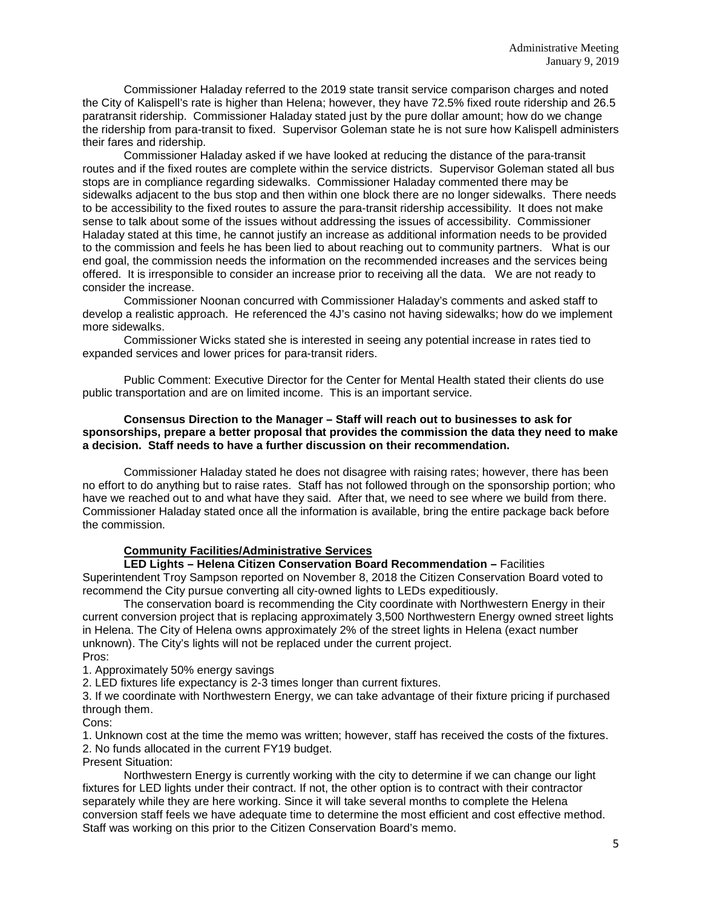Commissioner Haladay referred to the 2019 state transit service comparison charges and noted the City of Kalispell's rate is higher than Helena; however, they have 72.5% fixed route ridership and 26.5 paratransit ridership. Commissioner Haladay stated just by the pure dollar amount; how do we change the ridership from para-transit to fixed. Supervisor Goleman state he is not sure how Kalispell administers their fares and ridership.

Commissioner Haladay asked if we have looked at reducing the distance of the para-transit routes and if the fixed routes are complete within the service districts. Supervisor Goleman stated all bus stops are in compliance regarding sidewalks. Commissioner Haladay commented there may be sidewalks adjacent to the bus stop and then within one block there are no longer sidewalks. There needs to be accessibility to the fixed routes to assure the para-transit ridership accessibility. It does not make sense to talk about some of the issues without addressing the issues of accessibility. Commissioner Haladay stated at this time, he cannot justify an increase as additional information needs to be provided to the commission and feels he has been lied to about reaching out to community partners. What is our end goal, the commission needs the information on the recommended increases and the services being offered. It is irresponsible to consider an increase prior to receiving all the data. We are not ready to consider the increase.

Commissioner Noonan concurred with Commissioner Haladay's comments and asked staff to develop a realistic approach. He referenced the 4J's casino not having sidewalks; how do we implement more sidewalks.

Commissioner Wicks stated she is interested in seeing any potential increase in rates tied to expanded services and lower prices for para-transit riders.

Public Comment: Executive Director for the Center for Mental Health stated their clients do use public transportation and are on limited income. This is an important service.

### **Consensus Direction to the Manager – Staff will reach out to businesses to ask for sponsorships, prepare a better proposal that provides the commission the data they need to make a decision. Staff needs to have a further discussion on their recommendation.**

Commissioner Haladay stated he does not disagree with raising rates; however, there has been no effort to do anything but to raise rates. Staff has not followed through on the sponsorship portion; who have we reached out to and what have they said. After that, we need to see where we build from there. Commissioner Haladay stated once all the information is available, bring the entire package back before the commission.

### **Community Facilities/Administrative Services**

**LED Lights – Helena Citizen Conservation Board Recommendation –** Facilities Superintendent Troy Sampson reported on November 8, 2018 the Citizen Conservation Board voted to

recommend the City pursue converting all city-owned lights to LEDs expeditiously. The conservation board is recommending the City coordinate with Northwestern Energy in their current conversion project that is replacing approximately 3,500 Northwestern Energy owned street lights in Helena. The City of Helena owns approximately 2% of the street lights in Helena (exact number unknown). The City's lights will not be replaced under the current project. Pros:

1. Approximately 50% energy savings

2. LED fixtures life expectancy is 2-3 times longer than current fixtures.

3. If we coordinate with Northwestern Energy, we can take advantage of their fixture pricing if purchased through them.

Cons:

1. Unknown cost at the time the memo was written; however, staff has received the costs of the fixtures.

2. No funds allocated in the current FY19 budget.

Present Situation:

Northwestern Energy is currently working with the city to determine if we can change our light fixtures for LED lights under their contract. If not, the other option is to contract with their contractor separately while they are here working. Since it will take several months to complete the Helena conversion staff feels we have adequate time to determine the most efficient and cost effective method. Staff was working on this prior to the Citizen Conservation Board's memo.